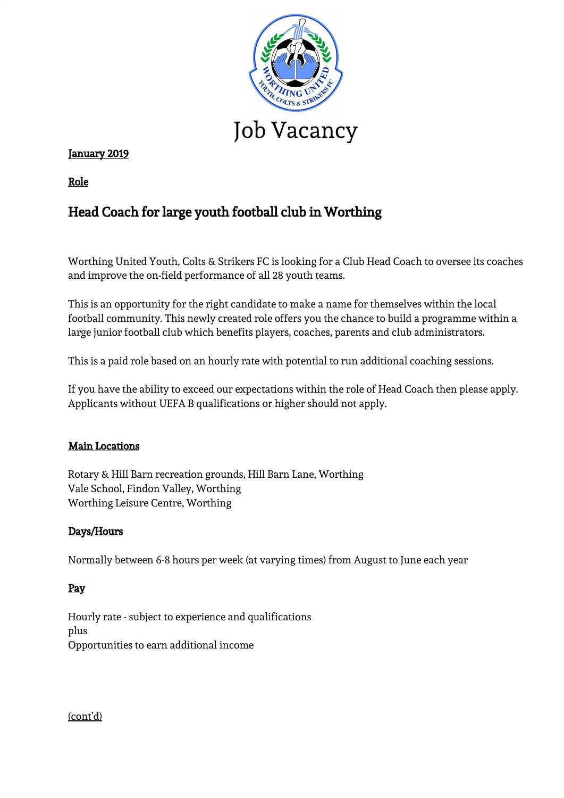

# January 2019

Role

# Head Coach for large youth football club in Worthing

Worthing United Youth, Colts & Strikers FC is looking for a Club Head Coach to oversee its coaches and improve the on-field performance of all 28 youth teams.

This is an opportunity for the right candidate to make a name for themselves within the local football community. This newly created role offers you the chance to build a programme within a large junior football club which benefits players, coaches, parents and club administrators.

This is a paid role based on an hourly rate with potential to run additional coaching sessions.

If you have the ability to exceed our expectations within the role of Head Coach then please apply. Applicants without UEFA B qualifications or higher should not apply.

## Main Locations

Rotary & Hill Barn recreation grounds, Hill Barn Lane, Worthing Vale School, Findon Valley, Worthing Worthing Leisure Centre, Worthing

## Days/Hours

Normally between 6-8 hours per week (at varying times) from August to June each year

# Pay

Hourly rate - subject to experience and qualifications plus Opportunities to earn additional income

(cont'd)